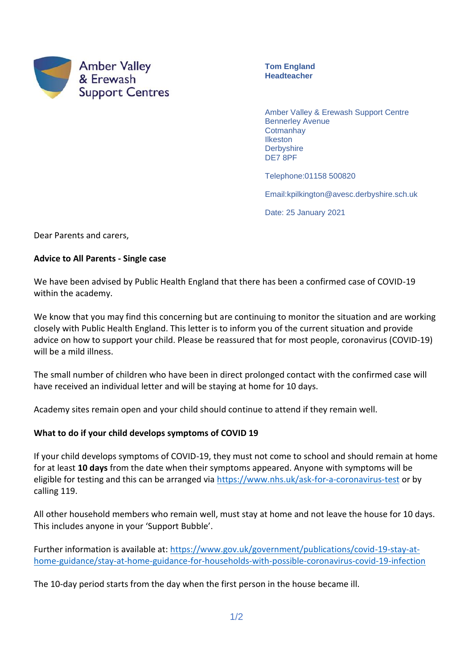

**Tom England Headteacher**

Amber Valley & Erewash Support Centre Bennerley Avenue **Cotmanhay Ilkeston Derbyshire** DE7 8PF

Telephone:01158 500820

Email:kpilkington@avesc.derbyshire.sch.uk

Date: 25 January 2021

Dear Parents and carers,

## **Advice to All Parents - Single case**

We have been advised by Public Health England that there has been a confirmed case of COVID-19 within the academy.

We know that you may find this concerning but are continuing to monitor the situation and are working closely with Public Health England. This letter is to inform you of the current situation and provide advice on how to support your child. Please be reassured that for most people, coronavirus (COVID-19) will be a mild illness.

The small number of children who have been in direct prolonged contact with the confirmed case will have received an individual letter and will be staying at home for 10 days.

Academy sites remain open and your child should continue to attend if they remain well.

## **What to do if your child develops symptoms of COVID 19**

If your child develops symptoms of COVID-19, they must not come to school and should remain at home for at least **10 days** from the date when their symptoms appeared. Anyone with symptoms will be eligible for testing and this can be arranged via<https://www.nhs.uk/ask-for-a-coronavirus-test> or by calling 119.

All other household members who remain well, must stay at home and not leave the house for 10 days. This includes anyone in your 'Support Bubble'.

Further information is available at: [https://www.gov.uk/government/publications/covid-19-stay-at](https://www.gov.uk/government/publications/covid-19-stay-at-home-guidance/stay-at-home-guidance-for-households-with-possible-coronavirus-covid-19-infection)[home-guidance/stay-at-home-guidance-for-households-with-possible-coronavirus-covid-19-infection](https://www.gov.uk/government/publications/covid-19-stay-at-home-guidance/stay-at-home-guidance-for-households-with-possible-coronavirus-covid-19-infection)

The 10-day period starts from the day when the first person in the house became ill.